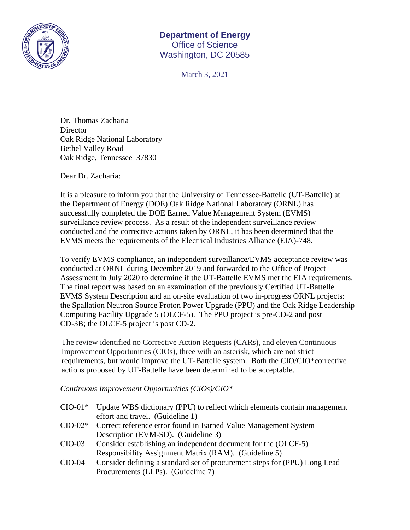

## **Department of Energy**  Office of Science Washington, DC 20585

March 3, 2021

Dr. Thomas Zacharia **Director** Oak Ridge National Laboratory Bethel Valley Road Oak Ridge, Tennessee 37830

Dear Dr. Zacharia:

It is a pleasure to inform you that the University of Tennessee-Battelle (UT-Battelle) at the Department of Energy (DOE) Oak Ridge National Laboratory (ORNL) has successfully completed the DOE Earned Value Management System (EVMS) surveillance review process. As a result of the independent surveillance review conducted and the corrective actions taken by ORNL, it has been determined that the EVMS meets the requirements of the Electrical Industries Alliance (EIA)-748.

To verify EVMS compliance, an independent surveillance/EVMS acceptance review was conducted at ORNL during December 2019 and forwarded to the Office of Project Assessment in July 2020 to determine if the UT-Battelle EVMS met the EIA requirements. The final report was based on an examination of the previously Certified UT-Battelle EVMS System Description and an on-site evaluation of two in-progress ORNL projects: the Spallation Neutron Source Proton Power Upgrade (PPU) and the Oak Ridge Leadership Computing Facility Upgrade 5 (OLCF-5). The PPU project is pre-CD-2 and post CD-3B; the OLCF-5 project is post CD-2.

The review identified no Corrective Action Requests (CARs), and eleven Continuous Improvement Opportunities (CIOs), three with an asterisk, which are not strict requirements, but would improve the UT-Battelle system. Both the CIO/CIO\*corrective actions proposed by UT-Battelle have been determined to be acceptable.

*Continuous Improvement Opportunities (CIOs)/CIO\** 

|          | CIO-01* Update WBS dictionary (PPU) to reflect which elements contain management |
|----------|----------------------------------------------------------------------------------|
|          | effort and travel. (Guideline 1)                                                 |
|          | CIO-02* Correct reference error found in Earned Value Management System          |
|          | Description (EVM-SD). (Guideline 3)                                              |
| $CIO-03$ | Consider establishing an independent document for the (OLCF-5)                   |
|          | Responsibility Assignment Matrix (RAM). (Guideline 5)                            |
| $CIO-04$ | Consider defining a standard set of procurement steps for (PPU) Long Lead        |
|          | Procurements (LLPs). (Guideline 7)                                               |